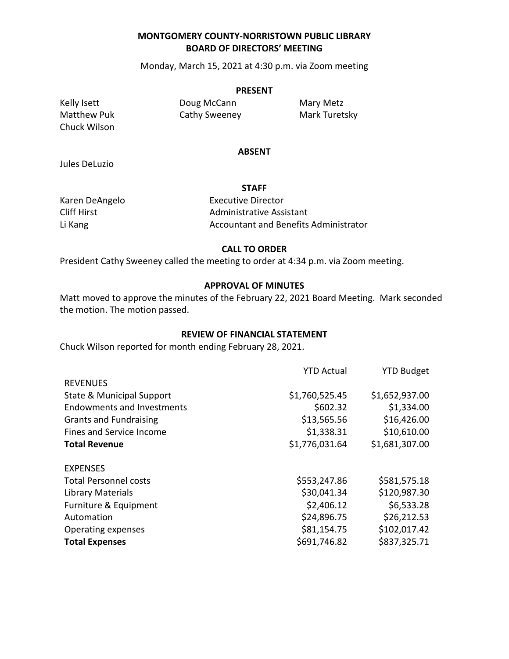### **MONTGOMERY COUNTY-NORRISTOWN PUBLIC LIBRARY BOARD OF DIRECTORS' MEETING**

Monday, March 15, 2021 at 4:30 p.m. via Zoom meeting

#### **PRESENT**

Chuck Wilson

Kelly Isett **Doug McCann** Mary Metz Matthew Puk **Cathy Sweeney** Mark Turetsky

#### **ABSENT**

**STAFF**

Jules DeLuzio

Karen DeAngelo **Executive Director** Cliff Hirst **Administrative Assistant** Li Kang **Accountant and Benefits Administrator** Accountant and Benefits Administrator

#### **CALL TO ORDER**

President Cathy Sweeney called the meeting to order at 4:34 p.m. via Zoom meeting.

#### **APPROVAL OF MINUTES**

Matt moved to approve the minutes of the February 22, 2021 Board Meeting. Mark seconded the motion. The motion passed.

#### **REVIEW OF FINANCIAL STATEMENT**

Chuck Wilson reported for month ending February 28, 2021.

| <b>YTD Actual</b> | <b>YTD Budget</b> |
|-------------------|-------------------|
|                   |                   |
| \$1,760,525.45    | \$1,652,937.00    |
| \$602.32          | \$1,334.00        |
| \$13,565.56       | \$16,426.00       |
| \$1,338.31        | \$10,610.00       |
| \$1,776,031.64    | \$1,681,307.00    |
|                   |                   |
|                   |                   |
| \$553,247.86      | \$581,575.18      |
| \$30,041.34       | \$120,987.30      |
| \$2,406.12        | \$6,533.28        |
| \$24,896.75       | \$26,212.53       |
| \$81,154.75       | \$102,017.42      |
| \$691,746.82      | \$837,325.71      |
|                   |                   |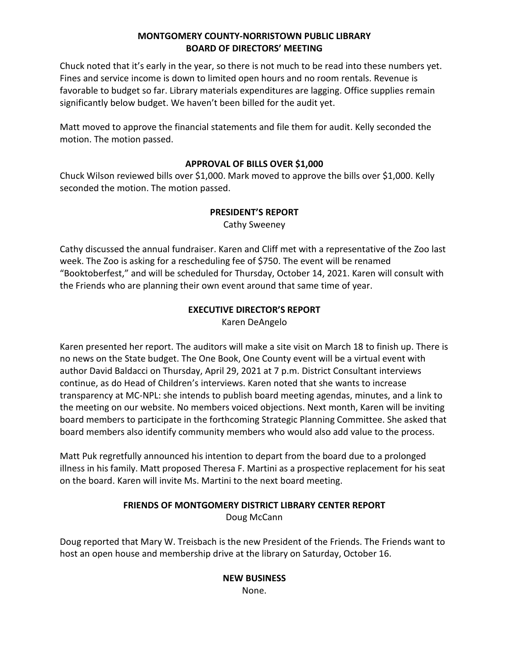## **MONTGOMERY COUNTY-NORRISTOWN PUBLIC LIBRARY BOARD OF DIRECTORS' MEETING**

Chuck noted that it's early in the year, so there is not much to be read into these numbers yet. Fines and service income is down to limited open hours and no room rentals. Revenue is favorable to budget so far. Library materials expenditures are lagging. Office supplies remain significantly below budget. We haven't been billed for the audit yet.

Matt moved to approve the financial statements and file them for audit. Kelly seconded the motion. The motion passed.

### **APPROVAL OF BILLS OVER \$1,000**

Chuck Wilson reviewed bills over \$1,000. Mark moved to approve the bills over \$1,000. Kelly seconded the motion. The motion passed.

### **PRESIDENT'S REPORT**

Cathy Sweeney

Cathy discussed the annual fundraiser. Karen and Cliff met with a representative of the Zoo last week. The Zoo is asking for a rescheduling fee of \$750. The event will be renamed "Booktoberfest," and will be scheduled for Thursday, October 14, 2021. Karen will consult with the Friends who are planning their own event around that same time of year.

# **EXECUTIVE DIRECTOR'S REPORT**

Karen DeAngelo

Karen presented her report. The auditors will make a site visit on March 18 to finish up. There is no news on the State budget. The One Book, One County event will be a virtual event with author David Baldacci on Thursday, April 29, 2021 at 7 p.m. District Consultant interviews continue, as do Head of Children's interviews. Karen noted that she wants to increase transparency at MC-NPL: she intends to publish board meeting agendas, minutes, and a link to the meeting on our website. No members voiced objections. Next month, Karen will be inviting board members to participate in the forthcoming Strategic Planning Committee. She asked that board members also identify community members who would also add value to the process.

Matt Puk regretfully announced his intention to depart from the board due to a prolonged illness in his family. Matt proposed Theresa F. Martini as a prospective replacement for his seat on the board. Karen will invite Ms. Martini to the next board meeting.

### **FRIENDS OF MONTGOMERY DISTRICT LIBRARY CENTER REPORT** Doug McCann

Doug reported that Mary W. Treisbach is the new President of the Friends. The Friends want to host an open house and membership drive at the library on Saturday, October 16.

> **NEW BUSINESS** None.